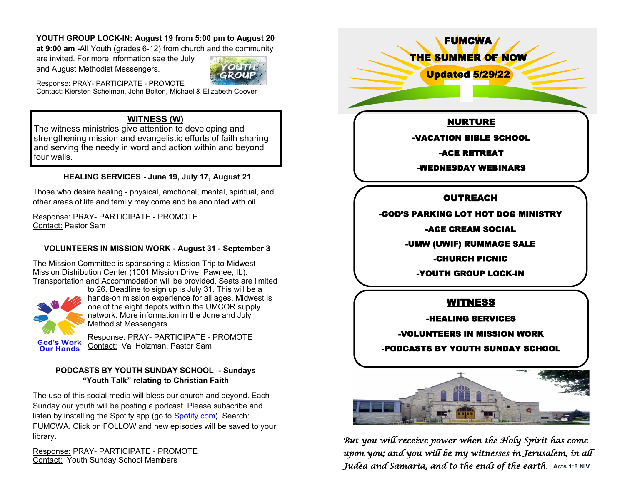### **YOUTH GROUP LOCK-IN: August 19 from 5:00 pm to August 20**

**at 9:00 am -**All Youth (grades 6-12) from church and the community

are invited. For more information see the July and August Methodist Messengers.



Response: PRAY- PARTICIPATE - PROMOTE Contact: Kiersten Schelman, John Bolton, Michael & Elizabeth Coover

### **WITNESS (W)**

The witness ministries give attention to developing and strengthening mission and evangelistic efforts of faith sharing and serving the needy in word and action within and beyond four walls.

### **HEALING SERVICES - June 19, July 17, August 21**

Those who desire healing - physical, emotional, mental, spiritual, and other areas of life and family may come and be anointed with oil.

Response: PRAY- PARTICIPATE - PROMOTE Contact: Pastor Sam

### **VOLUNTEERS IN MISSION WORK - August 31 - September 3**

The Mission Committee is sponsoring a Mission Trip to Midwest Mission Distribution Center (1001 Mission Drive, Pawnee, IL). Transportation and Accommodation will be provided. Seats are limited



to 26. Deadline to sign up is July 31. This will be a hands-on mission experience for all ages. Midwest is one of the eight depots within the UMCOR supply network. More information in the June and July Methodist Messengers.

Response: PRAY- PARTICIPATE - PROMOTE Contact: Val Holzman, Pastor Sam

### **PODCASTS BY YOUTH SUNDAY SCHOOL - Sundays "Youth Talk" relating to Christian Faith**

The use of this social media will bless our church and beyond. Each Sunday our youth will be posting a podcast. Please subscribe and listen by installing the Spotify app (go to [Spotify.com\)](http://spotify.com/?fbclid=IwAR1CfoYDYDMyChB7mkz0894vINazmIgiNFCyp0PDu4u6Bl0qb5Tjx1c44eI). Search: FUMCWA. Click on FOLLOW and new episodes will be saved to your library.

Response: PRAY- PARTICIPATE - PROMOTE Contact: Youth Sunday School Members

FUMCWA THE SUMMER OF NOW Updated 5/29/22 NURTURE -VACATION BIBLE SCHOOL -ACE RETREAT -WEDNESDAY WEBINARS **OUTREACH** -GOD'S PARKING LOT HOT DOG MINISTRY -ACE CREAM SOCIAL -UMW (UWIF) RUMMAGE SALE -CHURCH PICNIC -YOUTH GROUP LOCK-IN WITNESS -HEALING SERVICES -VOLUNTEERS IN MISSION WORK -PODCASTS BY YOUTH SUNDAY SCHOOL



*But you will receive power when the Holy Spirit has come upon you; and you will be my witnesses in Jerusalem, in all Judea and Samaria, and to the ends of the earth.* **Acts 1:8 NIV**